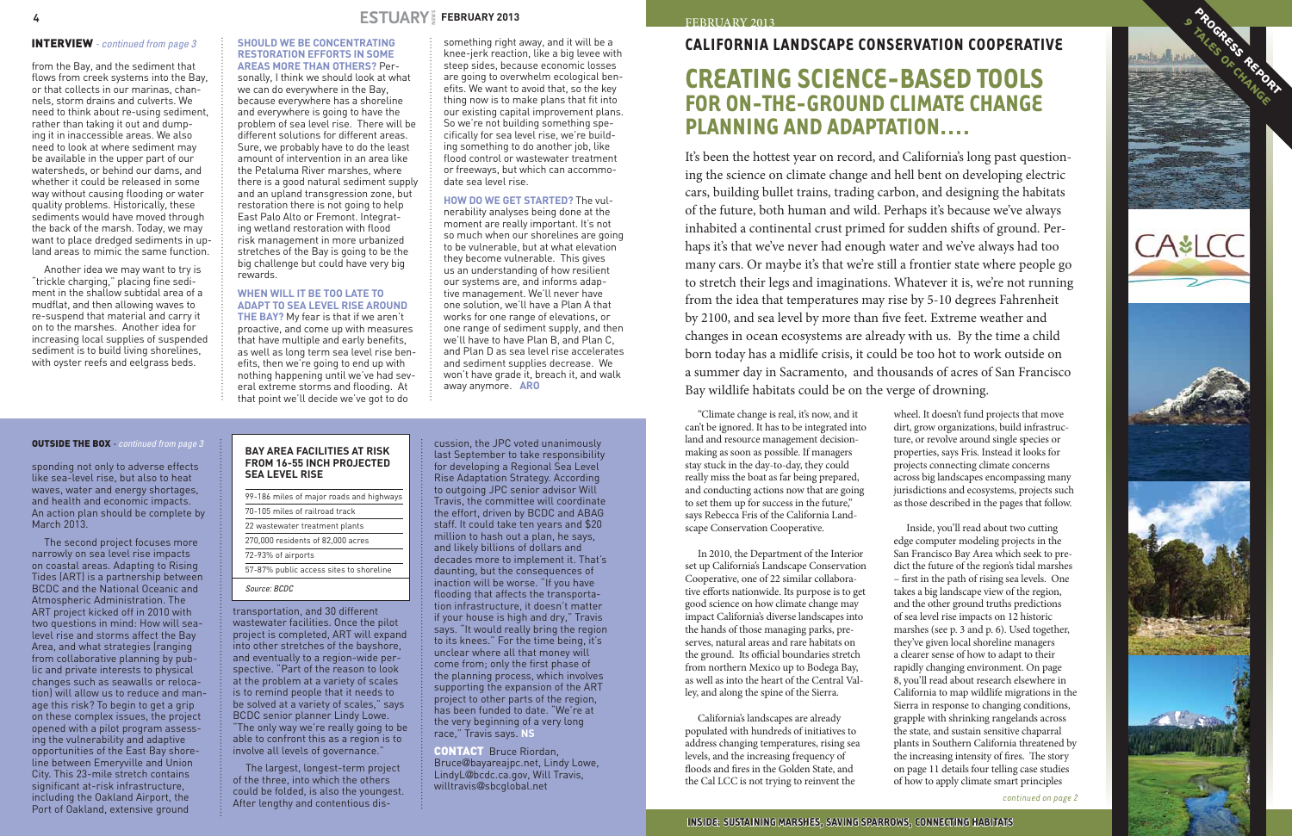## **California Landscape Conservation Cooperative**

## **Creating science-based tools for on-the-ground climate change planning and adaptation….**

It's been the hottest year on record, and California's long past questioning the science on climate change and hell bent on developing electric cars, building bullet trains, trading carbon, and designing the habitats of the future, both human and wild. Perhaps it's because we've always inhabited a continental crust primed for sudden shifts of ground. Perhaps it's that we've never had enough water and we've always had too many cars. Or maybe it's that we're still a frontier state where people go to stretch their legs and imaginations. Whatever it is, we're not running from the idea that temperatures may rise by 5-10 degrees Fahrenheit by 2100, and sea level by more than five feet. Extreme weather and changes in ocean ecosystems are already with us. By the time a child born today has a midlife crisis, it could be too hot to work outside on a summer day in Sacramento, and thousands of acres of San Francisco Bay wildlife habitats could be on the verge of drowning.

"Climate change is real, it's now, and it can't be ignored. It has to be integrated into land and resource management decisionmaking as soon as possible. If managers stay stuck in the day-to-day, they could really miss the boat as far being prepared, and conducting actions now that are going to set them up for success in the future," says Rebecca Fris of the California Landscape Conservation Cooperative.

In 2010, the Department of the Interior set up California's Landscape Conservation Cooperative, one of 22 similar collaborative efforts nationwide. Its purpose is to get good science on how climate change may impact California's diverse landscapes into the hands of those managing parks, preserves, natural areas and rare habitats on the ground. Its official boundaries stretch from northern Mexico up to Bodega Bay, as well as into the heart of the Central Valley, and along the spine of the Sierra.

California's landscapes are already populated with hundreds of initiatives to address changing temperatures, rising sea levels, and the increasing frequency of floods and fires in the Golden State, and the Cal LCC is not trying to reinvent the

wheel. It doesn't fund projects that move dirt, grow organizations, build infrastructure, or revolve around single species or properties, says Fris. Instead it looks for projects connecting climate concerns across big landscapes encompassing many jurisdictions and ecosystems, projects such as those described in the pages that follow.

Inside, you'll read about two cutting edge computer modeling projects in the San Francisco Bay Area which seek to predict the future of the region's tidal marshes – first in the path of rising sea levels. One takes a big landscape view of the region, and the other ground truths predictions of sea level rise impacts on 12 historic marshes (see p. 3 and p. 6). Used together, they've given local shoreline managers a clearer sense of how to adapt to their rapidly changing environment. On page 8, you'll read about research elsewhere in California to map wildlife migrations in the Sierra in response to changing conditions, grapple with shrinking rangelands across the state, and sustain sensitive chaparral plants in Southern California threatened by the increasing intensity of fires. The story on page 11 details four telling case studies of how to apply climate smart principles



*continued on page 2*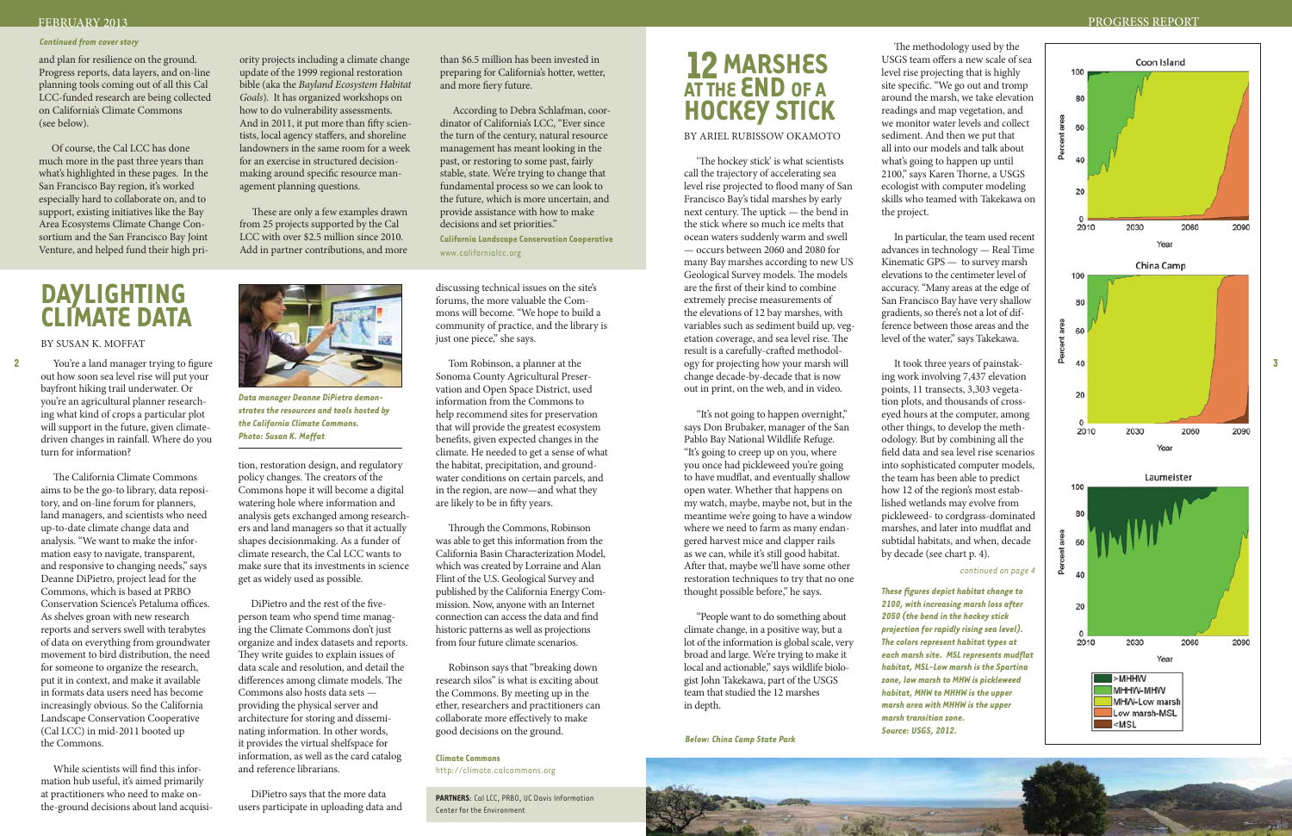## FEBRUARY 2013 PROGRESS REPORT

**2**

**3**

# **Daylighting Climate Data**

#### By Susan K. Moffat

You're a land manager trying to figure out how soon sea level rise will put your bayfront hiking trail underwater. Or you're an agricultural planner research ing what kind of crops a particular plot will support in the future, given climatedriven changes in rainfall. Where do you turn for information?

The California Climate Commons aims to be the go-to library, data reposi tory, and on-line forum for planners, land managers, and scientists who need up-to-date climate change data and analysis. "We want to make the infor mation easy to navigate, transparent, and responsive to changing needs," says Deanne DiPietro, project lead for the Commons, which is based at PRBO Conservation Science's Petaluma offices. As shelves groan with new research reports and servers swell with terabytes of data on everything from groundwater movement to bird distribution, the need for someone to organize the research, put it in context, and make it available in formats data users need has become increasingly obvious. So the California Landscape Conservation Cooperative (Cal LCC) in mid-2011 booted up the Commons.

discussing technical issues on the site's forums, the more valuable the Com mons will become. "We hope to build a community of practice, and the library is<br>just one piece," she says.

While scientists will find this infor mation hub useful, it's aimed primarily at practitioners who need to make onthe-ground decisions about land acquisi -

Tom Robinson, a planner at the Sonoma County Agricultural Preser vation and Open Space District, used information from the Commons to help recommend sites for preservation that will provide the greatest ecosystem benefits, given expected changes in the climate. He needed to get a sense of what the habitat, precipitation, and ground water conditions on certain parcels, and in the region, are now—and what they are likely to be in fifty years.

tion, restoration design, and regulatory policy changes. The creators of the Commons hope it will become a digital watering hole where information and analysis gets exchanged among research ers and land managers so that it actually shapes decisionmaking. As a funder of climate research, the Cal LCC wants to make sure that its investments in science get as widely used as possible.

DiPietro and the rest of the fiveperson team who spend time manag ing the Climate Commons don't just organize and index datasets and reports. They write guides to explain issues of data scale and resolution, and detail the differences among climate models. The Commons also hosts data sets providing the physical server and architecture for storing and dissemi nating information. In other words, it provides the virtual shelfspace for information, as well as the card catalog and reference librarians.

DiPietro says that the more data users participate in uploading data and

Through the Commons, Robinson was able to get this information from the California Basin Characterization Model, which was created by Lorraine and Alan Flint of the U.S. Geological Survey and published by the California Energy Com mission. Now, anyone with an Internet connection can access the data and find historic patterns as well as projections from four future climate scenarios.

Robinson says that "breaking down research silos" is what is exciting about the Commons. By meeting up in the ether, researchers and practitioners can collaborate more effectively to make good decisions on the ground.

## **Climate Commons**

<http://climate.calcommons.org>

**Partners**: Cal LCC, PRBO, UC Davis Information Center for the Environment

# **12 Marshes at the end of a Hockey Stick**

#### BY ARIEL RUBISSOW OKAMOTC

'The hockey stick' is what scientists call the trajectory of accelerating sea level rise projected to flood many of San Francisco Bay's tidal marshes by early next century. The uptick — the bend in the stick where so much ice melts that ocean waters suddenly warm and swell — occurs between 2060 and 2080 for many Bay marshes according to new US Geological Survey models. The models are the first of their kind to combine extremely precise measurements of the elevations of 12 bay marshes, with variables such as sediment build up, veg etation coverage, and sea level rise. The result is a carefully-crafted methodol ogy for projecting how your marsh will change decade-by-decade that is now out in print, on the web, and in video.

"It's not going to happen overnight," says Don Brubaker, manager of the San Pablo Bay National Wildlife Refuge. "It's going to creep up on you, where you once had pickleweed you're going to have mudflat, and eventually shallow open water. Whether that happens on my watch, maybe, maybe not, but in the meantime we're going to have a window where we need to farm as many endan gered harvest mice and clapper rails as we can, while it's still good habitat. After that, maybe we'll have some other restoration techniques to try that no one thought possible before," he says.

"People want to do something about climate change, in a positive way, but a lot of the information is global scale, very broad and large. We're trying to make it local and actionable," says wildlife biolo gist John Takekawa, part of the USGS team that studied the 12 marshes in depth.

The methodology used by the USGS team offers a new scale of sea level rise projecting that is highly site specific. "We go out and tromp around the marsh, we take elevation readings and map vegetation, and we monitor water levels and collect sediment. And then we put that all into our models and talk about what's going to happen up until 2100," says Karen Thorne, a USGS ecologist with computer modeling skills who teamed with Takekawa on the project.

In particular, the team used recent advances in technology — Real Time Kinematic GPS — to survey marsh elevations to the centimeter level of accuracy. "Many areas at the edge of San Francisco Bay have very shallow gradients, so there's not a lot of difference between those areas and the level of the water," says Takekawa.

It took three years of painstak ing work involving 7,437 elevation points, 11 transects, 3,303 vegeta tion plots, and thousands of crosseyed hours at the computer, among other things, to develop the meth odology. But by combining all the field data and sea level rise scenarios into sophisticated computer models, the team has been able to predict how 12 of the region's most estab lished wetlands may evolve from pickleweed- to cordgrass-dominated marshes, and later into mudflat and subtidal habitats, and when, decade by decade (see chart p. 4).

#### *continued on page 4*

and plan for resilience on the ground. Progress reports, data layers, and on-line planning tools coming out of all this Cal LCC-funded research are being collected on California's Climate Commons (see below).

Of course, the Cal LCC has done much more in the past three years than what's highlighted in these pages. In the San Francisco Bay region, it's worked especially hard to collaborate on, and to support, existing initiatives like the Bay Area Ecosystems Climate Change Con sortium and the San Francisco Bay Joint Venture, and helped fund their high pri -

ority projects including a climate change update of the 1999 regional restoration bible (aka the *Bayland Ecosystem Habitat Goals*). It has organized workshops on how to do vulnerability assessments. And in 2011, it put more than fifty scien tists, local agency staffers, and shoreline landowners in the same room for a week for an exercise in structured decisionmaking around specific resource man agement planning questions.

These are only a few examples drawn from 25 projects supported by the Cal LCC with over \$2.5 million since 2010. Add in partner contributions, and more than \$6.5 million has been invested in preparing for California's hotter, wetter, and more fiery future.

According to Debra Schlafman, coor dinator of California's LCC, "Ever since the turn of the century, natural resource management has meant looking in the past, or restoring to some past, fairly stable, state. We're trying to change that fundamental process so we can look to the future, which is more uncertain, and provide assistance with how to make decisions and set priorities."

**California [Landscape Conservation Cooperative](http://www.californialcc.org)** www.californialcc.org

#### *Continued from cover story*



*Data manager Deanne DiPietro demon strates the resources and tools hosted by the California Climate Commons. Photo: Susan K. Moffat*

*These figures depict habitat change to 2100, with increasing marsh loss after 2050 (the bend in the hockey stick projection for rapidly rising sea level). The colors represent habitat types at each marsh site. MSL represents mudflat habitat, MSL-Low marsh is the Spartina zone, low marsh to MHW is pickleweed habitat, MHW to MHHW is the upper marsh area with MHHW is the upper marsh transition zone. Source: USGS, 2012.* 



*Below: China Camp State Park*

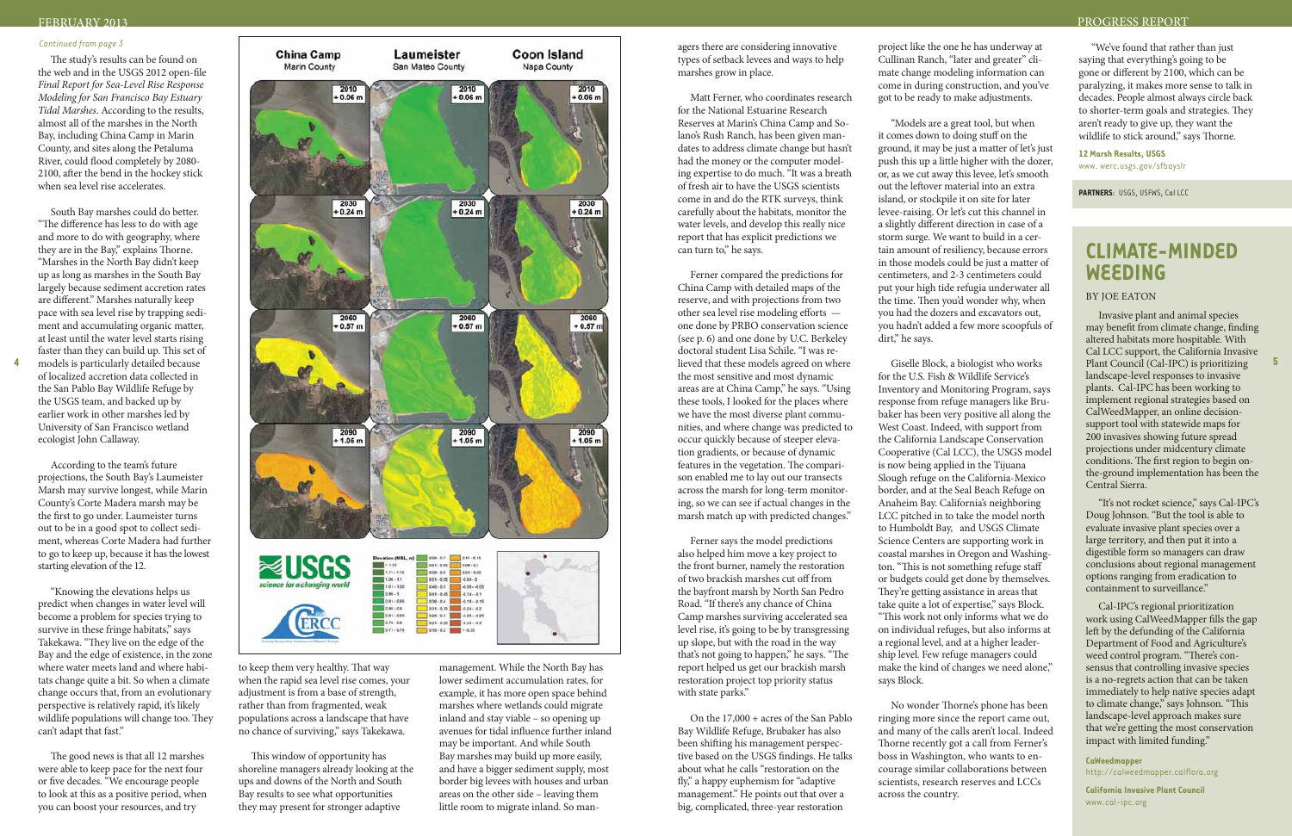## FEBRUARY 2013 PROGRESS REPORT

The study's results can be found on the web and in the USGS 2012 open-file *Final Report for Sea-Level Rise Response Modeling for San Francisco Bay Estuary Tidal Marshes*. According to the results, almost all of the marshes in the North Bay, including China Camp in Marin County, and sites along the Petaluma River, could flood completely by 2080- 2100, after the bend in the hockey stick when sea level rise accelerates.

South Bay marshes could do better. "The difference has less to do with age and more to do with geography, where they are in the Bay," explains Thorne. "Marshes in the North Bay didn't keep up as long as marshes in the South Bay largely because sediment accretion rates are different." Marshes naturally keep pace with sea level rise by trapping sediment and accumulating organic matter, at least until the water level starts rising faster than they can build up. This set of of localized accretion data collected in the San Pablo Bay Wildlife Refuge by the USGS team, and backed up by earlier work in other marshes led by University of San Francisco wetland ecologist John Callaway.

According to the team's future projections, the South Bay's Laumeister Marsh may survive longest, while Marin County's Corte Madera marsh may be the first to go under. Laumeister turns out to be in a good spot to collect sediment, whereas Corte Madera had further to go to keep up, because it has the lowest starting elevation of the 12.

"Knowing the elevations helps us predict when changes in water level will become a problem for species trying to survive in these fringe habitats," says Takekawa. "They live on the edge of the Bay and the edge of existence, in the zone where water meets land and where habitats change quite a bit. So when a climate change occurs that, from an evolutionary perspective is relatively rapid, it's likely wildlife populations will change too. They can't adapt that fast."



The good news is that all 12 marshes were able to keep pace for the next four or five decades. "We encourage people to look at this as a positive period, when you can boost your resources, and try

to keep them very healthy. That way when the rapid sea level rise comes, your adjustment is from a base of strength, rather than from fragmented, weak populations across a landscape that have no chance of surviving," says Takekawa.

This window of opportunity has shoreline managers already looking at the ups and downs of the North and South Bay results to see what opportunities they may present for stronger adaptive

management. While the North Bay has lower sediment accumulation rates, for example, it has more open space behind marshes where wetlands could migrate inland and stay viable – so opening up avenues for tidal influence further inland may be important. And while South Bay marshes may build up more easily, and have a bigger sediment supply, most border big levees with houses and urban areas on the other side – leaving them little room to migrate inland. So mantypes of setback levees and ways to help marshes grow in place.

Matt Ferner, who coordinates research for the National Estuarine Research Reserves at Marin's China Camp and Solano's Rush Ranch, has been given mandates to address climate change but hasn't had the money or the computer modeling expertise to do much. "It was a breath of fresh air to have the USGS scientists come in and do the RTK surveys, think carefully about the habitats, monitor the water levels, and develop this really nice report that has explicit predictions we can turn to," he says.

"We've found that rather than just saying that everything's going to be gone or different by 2100, which can be paralyzing, it makes more sense to talk in decades. People almost always circle back to shorter-term goals and strategies. They aren't ready to give up, they want the wildlife to stick around," says Thorne.

Ferner compared the predictions for China Camp with detailed maps of the reserve, and with projections from two other sea level rise modeling efforts one done by PRBO conservation science (see p. 6) and one done by U.C. Berkeley doctoral student Lisa Schile. "I was relieved that these models agreed on where the most sensitive and most dynamic areas are at China Camp," he says. "Using these tools, I looked for the places where we have the most diverse plant communities, and where change was predicted to occur quickly because of steeper elevation gradients, or because of dynamic features in the vegetation. The comparison enabled me to lay out our transects across the marsh for long-term monitoring, so we can see if actual changes in the marsh match up with predicted changes."

Ferner says the model predictions also helped him move a key project to the front burner, namely the restoration of two brackish marshes cut off from the bayfront marsh by North San Pedro Road. "If there's any chance of China Camp marshes surviving accelerated sea level rise, it's going to be by transgressing up slope, but with the road in the way that's not going to happen," he says. "The report helped us get our brackish marsh restoration project top priority status with state parks."

On the 17,000 + acres of the San Pablo Bay Wildlife Refuge, Brubaker has also been shifting his management perspective based on the USGS findings. He talks about what he calls "restoration on the fly," a happy euphemism for "adaptive management." He points out that over a big, complicated, three-year restoration

project like the one he has underway at Cullinan Ranch, "later and greater" climate change modeling information can come in during construction, and you've got to be ready to make adjustments.

"Models are a great tool, but when it comes down to doing stuff on the ground, it may be just a matter of let's just push this up a little higher with the dozer, or, as we cut away this levee, let's smooth out the leftover material into an extra island, or stockpile it on site for later levee-raising. Or let's cut this channel in a slightly different direction in case of a storm surge. We want to build in a certain amount of resiliency, because errors in those models could be just a matter of centimeters, and 2-3 centimeters could put your high tide refugia underwater all the time. Then you'd wonder why, when you had the dozers and excavators out, you hadn't added a few more scoopfuls of dirt," he says.

Giselle Block, a biologist who works for the U.S. Fish & Wildlife Service's Inventory and Monitoring Program, says response from refuge managers like Brubaker has been very positive all along the West Coast. Indeed, with support from the California Landscape Conservation Cooperative (Cal LCC), the USGS model is now being applied in the Tijuana Slough refuge on the California-Mexico border, and at the Seal Beach Refuge on Anaheim Bay. California's neighboring LCC pitched in to take the model north to Humboldt Bay, and USGS Climate Science Centers are supporting work in coastal marshes in Oregon and Washington. "This is not something refuge staff or budgets could get done by themselves. They're getting assistance in areas that take quite a lot of expertise," says Block. "This work not only informs what we do on individual refuges, but also informs at a regional level, and at a higher leadership level. Few refuge managers could make the kind of changes we need alone," says Block.

No wonder Thorne's phone has been ringing more since the report came out, and many of the calls aren't local. Indeed Thorne recently got a call from Ferner's boss in Washington, who wants to encourage similar collaborations between scientists, research reserves and LCCs across the country.

**12 Marsh Results, USGS** [www. werc.usgs.gov/sfbayslr](http://www.werc.usgs.gov/sfbayslr)

**Partners**: USGS, USFWS, Cal LCC

## **Climate-Minded Weeding**

#### BY JOE EATON

Invasive plant and animal species may benefit from climate change, finding altered habitats more hospitable. With Cal LCC support, the California Invasive Plant Council (Cal-IPC) is prioritizing landscape-level responses to invasive plants. Cal-IPC has been working to implement regional strategies based on CalWeedMapper, an online decisionsupport tool with statewide maps for 200 invasives showing future spread projections under midcentury climate conditions. The first region to begin onthe-ground implementation has been the Central Sierra.

"It's not rocket science," says Cal-IPC's Doug Johnson. "But the tool is able to evaluate invasive plant species over a large territory, and then put it into a digestible form so managers can draw conclusions about regional management options ranging from eradication to containment to surveillance."

Cal-IPC's regional prioritization work using CalWeedMapper fills the gap left by the defunding of the California Department of Food and Agriculture's weed control program. "There's consensus that controlling invasive species is a no-regrets action that can be taken immediately to help native species adapt to climate change," says Johnson. "This landscape-level approach makes sure that we're getting the most conservation impact with limited funding."

**CaWeedmapper** <http://calweedmapper.calflora.org>

**California Invasive Plant Council** [www.cal-ipc.org](http://www.cal-ipc.org)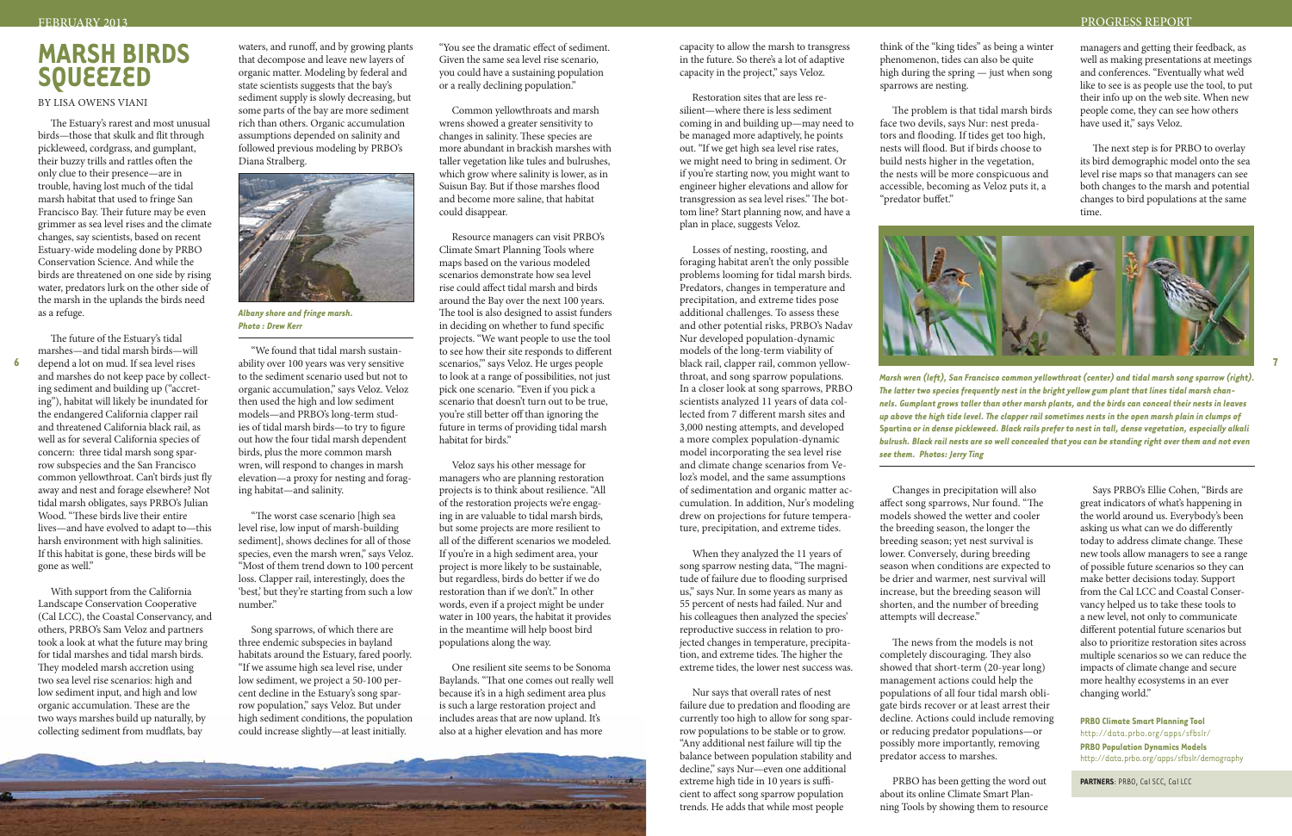# **MARSH BIRDS SQUEEZED**

By Lisa Owens Viani

The Estuary's rarest and most unusual birds—those that skulk and flit through pickleweed, cordgrass, and gumplant, their buzzy trills and rattles often the only clue to their presence—are in trouble, having lost much of the tidal marsh habitat that used to fringe San Francisco Bay. Their future may be even grimmer as sea level rises and the climate changes, say scientists, based on recent Estuary-wide modeling done by PRBO Conservation Science. And while the birds are threatened on one side by rising water, predators lurk on the other side of the marsh in the uplands the birds need as a refuge.

The future of the Estuary's tidal marshes—and tidal marsh birds—will depend a lot on mud. If sea level rises and marshes do not keep pace by collecting sediment and building up ("accreting"), habitat will likely be inundated for the endangered California clapper rail and threatened California black rail, as well as for several California species of concern: three tidal marsh song sparrow subspecies and the San Francisco common yellowthroat. Can't birds just fly away and nest and forage elsewhere? Not tidal marsh obligates, says PRBO's Julian Wood. "These birds live their entire lives—and have evolved to adapt to—this harsh environment with high salinities. If this habitat is gone, these birds will be gone as well."

With support from the California Landscape Conservation Cooperative (Cal LCC), the Coastal Conservancy, and others, PRBO's Sam Veloz and partners took a look at what the future may bring for tidal marshes and tidal marsh birds. They modeled marsh accretion using two sea level rise scenarios: high and low sediment input, and high and low organic accumulation. These are the two ways marshes build up naturally, by collecting sediment from mudflats, bay

waters, and runoff, and by growing plants that decompose and leave new layers of organic matter. Modeling by federal and state scientists suggests that the bay's sediment supply is slowly decreasing, but some parts of the bay are more sediment rich than others. Organic accumulation assumptions depended on salinity and followed previous modeling by PRBO's Diana Stralberg.

"We found that tidal marsh sustainability over 100 years was very sensitive to the sediment scenario used but not to organic accumulation," says Veloz. Veloz then used the high and low sediment models—and PRBO's long-term studies of tidal marsh birds—to try to figure out how the four tidal marsh dependent birds, plus the more common marsh wren, will respond to changes in marsh elevation—a proxy for nesting and foraging habitat—and salinity.

"The worst case scenario [high sea level rise, low input of marsh-building sediment], shows declines for all of those species, even the marsh wren," says Veloz. "Most of them trend down to 100 percent loss. Clapper rail, interestingly, does the 'best,' but they're starting from such a low number."

Song sparrows, of which there are three endemic subspecies in bayland habitats around the Estuary, fared poorly. "If we assume high sea level rise, under low sediment, we project a 50-100 percent decline in the Estuary's song sparrow population," says Veloz. But under high sediment conditions, the population could increase slightly—at least initially.

**START A LONGING AND CLOSED AS ON TAXABLE AND A REAL PROPERTY.** 

"You see the dramatic effect of sediment. Given the same sea level rise scenario, you could have a sustaining population or a really declining population."

Common yellowthroats and marsh wrens showed a greater sensitivity to changes in salinity. These species are more abundant in brackish marshes with taller vegetation like tules and bulrushes, which grow where salinity is lower, as in Suisun Bay. But if those marshes flood and become more saline, that habitat could disappear.

Resource managers can visit PRBO's Climate Smart Planning Tools where maps based on the various modeled scenarios demonstrate how sea level rise could affect tidal marsh and birds around the Bay over the next 100 years. The tool is also designed to assist funders in deciding on whether to fund specific projects. "We want people to use the tool to see how their site responds to different scenarios," says Veloz. He urges people to look at a range of possibilities, not just pick one scenario. "Even if you pick a scenario that doesn't turn out to be true, you're still better off than ignoring the future in terms of providing tidal marsh habitat for birds."

Veloz says his other message for managers who are planning restoration projects is to think about resilience. "All of the restoration projects we're engaging in are valuable to tidal marsh birds, but some projects are more resilient to all of the different scenarios we modeled. If you're in a high sediment area, your project is more likely to be sustainable, but regardless, birds do better if we do restoration than if we don't." In other words, even if a project might be under water in 100 years, the habitat it provides in the meantime will help boost bird populations along the way.

One resilient site seems to be Sonoma Baylands. "That one comes out really well because it's in a high sediment area plus is such a large restoration project and includes areas that are now upland. It's also at a higher elevation and has more

capacity to allow the marsh to transgress in the future. So there's a lot of adaptive capacity in the project," says Veloz.

Restoration sites that are less resilient—where there is less sediment coming in and building up—may need to be managed more adaptively, he points out. "If we get high sea level rise rates, we might need to bring in sediment. Or if you're starting now, you might want to engineer higher elevations and allow for transgression as sea level rises." The bottom line? Start planning now, and have a plan in place, suggests Veloz.

Losses of nesting, roosting, and foraging habitat aren't the only possible problems looming for tidal marsh birds. Predators, changes in temperature and precipitation, and extreme tides pose additional challenges. To assess these and other potential risks, PRBO's Nadav Nur developed population-dynamic models of the long-term viability of throat, and song sparrow populations. In a closer look at song sparrows, PRBO scientists analyzed 11 years of data collected from 7 different marsh sites and 3,000 nesting attempts, and developed a more complex population-dynamic model incorporating the sea level rise and climate change scenarios from Veloz's model, and the same assumptions of sedimentation and organic matter accumulation. In addition, Nur's modeling drew on projections for future temperature, precipitation, and extreme tides.

When they analyzed the 11 years of song sparrow nesting data, "The magnitude of failure due to flooding surprised us," says Nur. In some years as many as 55 percent of nests had failed. Nur and his colleagues then analyzed the species' reproductive success in relation to projected changes in temperature, precipitation, and extreme tides. The higher the extreme tides, the lower nest success was.

Nur says that overall rates of nest failure due to predation and flooding are currently too high to allow for song sparrow populations to be stable or to grow. "Any additional nest failure will tip the balance between population stability and decline," says Nur—even one additional extreme high tide in 10 years is sufficient to affect song sparrow population trends. He adds that while most people

think of the "king tides" as being a winter phenomenon, tides can also be quite high during the spring — just when song sparrows are nesting.

The problem is that tidal marsh birds face two devils, says Nur: nest predators and flooding. If tides get too high, nests will flood. But if birds choose to build nests higher in the vegetation, the nests will be more conspicuous and accessible, becoming as Veloz puts it, a "predator buffet."

Changes in precipitation will also affect song sparrows, Nur found. "The models showed the wetter and cooler the breeding season, the longer the breeding season; yet nest survival is lower. Conversely, during breeding season when conditions are expected to be drier and warmer, nest survival will increase, but the breeding season will shorten, and the number of breeding attempts will decrease."



The news from the models is not completely discouraging. They also showed that short-term (20-year long) management actions could help the populations of all four tidal marsh obligate birds recover or at least arrest their decline. Actions could include removing or reducing predator populations—or possibly more importantly, removing predator access to marshes.

PRBO has been getting the word out about its online Climate Smart Planning Tools by showing them to resource

managers and getting their feedback, as well as making presentations at meetings and conferences. "Eventually what we'd like to see is as people use the tool, to put their info up on the web site. When new people come, they can see how others have used it," says Veloz.

The next step is for PRBO to overlay its bird demographic model onto the sea level rise maps so that managers can see both changes to the marsh and potential changes to bird populations at the same time.

Says PRBO's Ellie Cohen, "Birds are great indicators of what's happening in the world around us. Everybody's been asking us what can we do differently today to address climate change. These new tools allow managers to see a range of possible future scenarios so they can make better decisions today. Support from the Cal LCC and Coastal Conservancy helped us to take these tools to a new level, not only to communicate different potential future scenarios but also to prioritize restoration sites across multiple scenarios so we can reduce the impacts of climate change and secure more healthy ecosystems in an ever changing world."

**PRBO Climate Smart Planning Tool** <http://data.prbo.org/apps/sfbslr/> **PRBO Population Dynamics Models** <http://data.prbo.org/apps/sfbslr/demography>

**PARTNERS**: PRBO, Cal SCC, Cal LCC

#### FEBRUARY 2013 PROGRESS REPORT

*Marsh wren (left), San Francisco common yellowthroat (center) and tidal marsh song sparrow (right). The latter two species frequently nest in the bright yellow gum plant that lines tidal marsh channels. Gumplant grows taller than other marsh plants, and the birds can conceal their nests in leaves up above the high tide level. The clapper rail sometimes nests in the open marsh plain in clumps of*  **Spartina** *or in dense pickleweed. Black rails prefer to nest in tall, dense vegetation, especially alkali bulrush. Black rail nests are so well concealed that you can be standing right over them and not even see them. Photos: Jerry Ting*



*Albany shore and fringe marsh. Photo : Drew Kerr*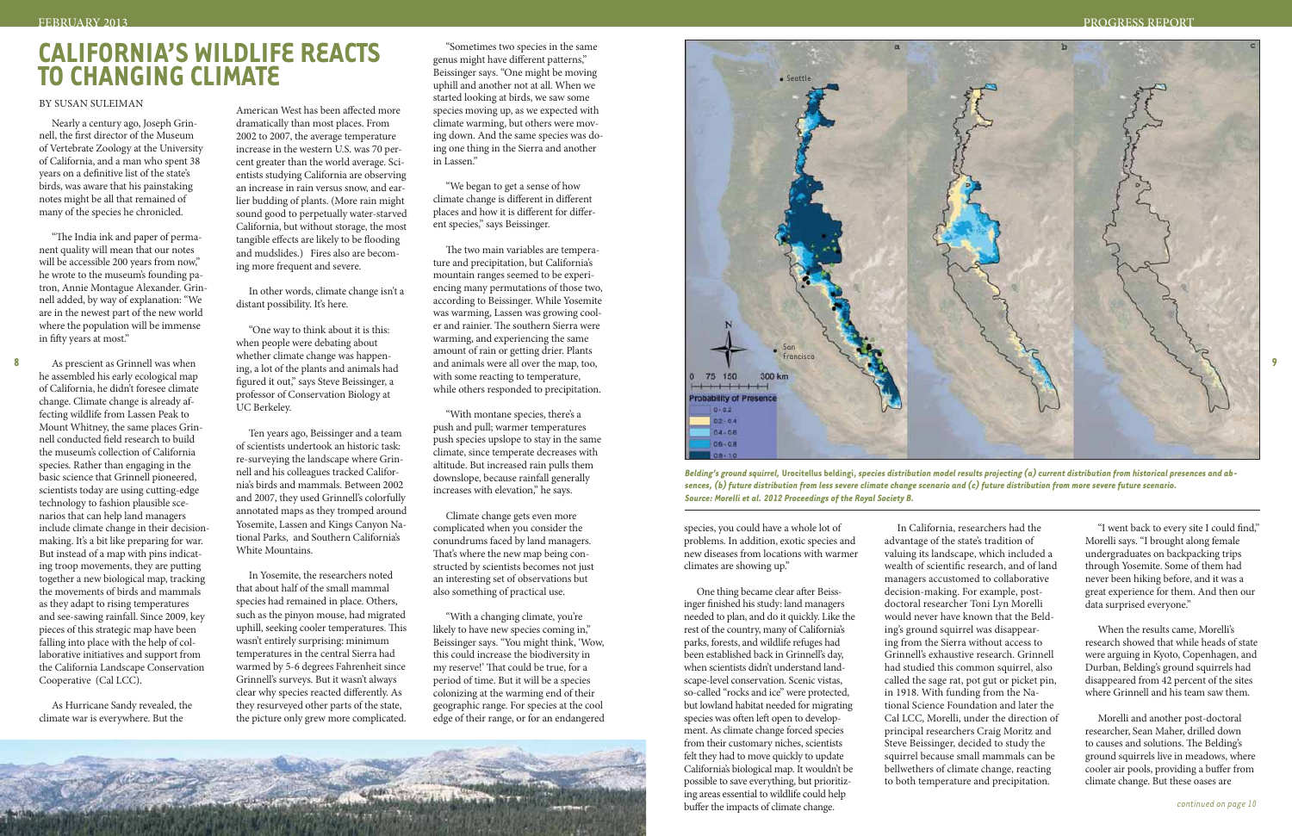## By Susan Suleiman

Nearly a century ago, Joseph Grinnell, the first director of the Museum of Vertebrate Zoology at the University of California, and a man who spent 38 years on a definitive list of the state's birds, was aware that his painstaking notes might be all that remained of many of the species he chronicled.

"The India ink and paper of permanent quality will mean that our notes will be accessible 200 years from now," he wrote to the museum's founding patron, Annie Montague Alexander. Grinnell added, by way of explanation: "We are in the newest part of the new world where the population will be immense in fifty years at most."

As prescient as Grinnell was when he assembled his early ecological map of California, he didn't foresee climate change. Climate change is already affecting wildlife from Lassen Peak to Mount Whitney, the same places Grinnell conducted field research to build the museum's collection of California species. Rather than engaging in the basic science that Grinnell pioneered, scientists today are using cutting-edge technology to fashion plausible scenarios that can help land managers include climate change in their decisionmaking. It's a bit like preparing for war. But instead of a map with pins indicating troop movements, they are putting together a new biological map, tracking the movements of birds and mammals as they adapt to rising temperatures and see-sawing rainfall. Since 2009, key pieces of this strategic map have been falling into place with the help of collaborative initiatives and support from the California Landscape Conservation Cooperative (Cal LCC).

As Hurricane Sandy revealed, the climate war is everywhere. But the

American West has been affected more dramatically than most places. From 2002 to 2007, the average temperature increase in the western U.S. was 70 percent greater than the world average. Scientists studying California are observing an increase in rain versus snow, and earlier budding of plants. (More rain might sound good to perpetually water-starved California, but without storage, the most tangible effects are likely to be flooding and mudslides.) Fires also are becoming more frequent and severe.

In other words, climate change isn't a distant possibility. It's here.

"One way to think about it is this: when people were debating about whether climate change was happening, a lot of the plants and animals had figured it out," says Steve Beissinger, a professor of Conservation Biology at UC Berkeley.

Ten years ago, Beissinger and a team of scientists undertook an historic task: re-surveying the landscape where Grinnell and his colleagues tracked California's birds and mammals. Between 2002 and 2007, they used Grinnell's colorfully annotated maps as they tromped around Yosemite, Lassen and Kings Canyon National Parks, and Southern California's White Mountains.

In Yosemite, the researchers noted that about half of the small mammal species had remained in place. Others, such as the pinyon mouse, had migrated uphill, seeking cooler temperatures. This wasn't entirely surprising: minimum temperatures in the central Sierra had warmed by 5-6 degrees Fahrenheit since Grinnell's surveys. But it wasn't always clear why species reacted differently. As they resurveyed other parts of the state, the picture only grew more complicated.

"Sometimes two species in the same genus might have different patterns," Beissinger says. "One might be moving uphill and another not at all. When we started looking at birds, we saw some species moving up, as we expected with climate warming, but others were moving down. And the same species was doing one thing in the Sierra and another in Lassen."

> When the results came, Morelli's research showed that while heads of state were arguing in Kyoto, Copenhagen, and Durban, Belding's ground squirrels had disappeared from 42 percent of the sites where Grinnell and his team saw them.

"We began to get a sense of how climate change is different in different places and how it is different for different species," says Beissinger.

The two main variables are temperature and precipitation, but California's mountain ranges seemed to be experiencing many permutations of those two, according to Beissinger. While Yosemite was warming, Lassen was growing cooler and rainier. The southern Sierra were warming, and experiencing the same amount of rain or getting drier. Plants and animals were all over the map, too, with some reacting to temperature, while others responded to precipitation.

"With montane species, there's a push and pull; warmer temperatures push species upslope to stay in the same climate, since temperate decreases with altitude. But increased rain pulls them downslope, because rainfall generally increases with elevation," he says.

Climate change gets even more complicated when you consider the conundrums faced by land managers. That's where the new map being constructed by scientists becomes not just an interesting set of observations but also something of practical use.

"With a changing climate, you're likely to have new species coming in," Beissinger says. "You might think, 'Wow, this could increase the biodiversity in my reserve!' That could be true, for a period of time. But it will be a species colonizing at the warming end of their geographic range. For species at the cool edge of their range, or for an endangered

**8**

species, you could have a whole lot of problems. In addition, exotic species and new diseases from locations with warmer climates are showing up."

One thing became clear after Beissinger finished his study: land managers needed to plan, and do it quickly. Like the rest of the country, many of California's parks, forests, and wildlife refuges had been established back in Grinnell's day, when scientists didn't understand landscape-level conservation. Scenic vistas, so-called "rocks and ice" were protected, but lowland habitat needed for migrating species was often left open to development. As climate change forced species from their customary niches, scientists felt they had to move quickly to update California's biological map. It wouldn't be possible to save everything, but prioritizing areas essential to wildlife could help buffer the impacts of climate change.

In California, researchers had the advantage of the state's tradition of valuing its landscape, which included a wealth of scientific research, and of land managers accustomed to collaborative decision-making. For example, postdoctoral researcher Toni Lyn Morelli would never have known that the Belding's ground squirrel was disappearing from the Sierra without access to Grinnell's exhaustive research. Grinnell had studied this common squirrel, also called the sage rat, pot gut or picket pin, in 1918. With funding from the National Science Foundation and later the Cal LCC, Morelli, under the direction of principal researchers Craig Moritz and Steve Beissinger, decided to study the squirrel because small mammals can be bellwethers of climate change, reacting to both temperature and precipitation.

"I went back to every site I could find," Morelli says. "I brought along female undergraduates on backpacking trips through Yosemite. Some of them had never been hiking before, and it was a great experience for them. And then our data surprised everyone."

Morelli and another post-doctoral researcher, Sean Maher, drilled down to causes and solutions. The Belding's ground squirrels live in meadows, where cooler air pools, providing a buffer from climate change. But these oases are

## **California's Wildlife Reacts to Changing Climate**

#### PROGRESS REPORT

*Belding's ground squirrel,* **Urocitellus beldingi,** *species distribution model results projecting (a) current distribution from historical presences and ab-*

*sences, (b) future distribution from less severe climate change scenario and (c) future distribution from more severe future scenario. Source: Morelli et al. 2012 Proceedings of the Royal Society B.* 

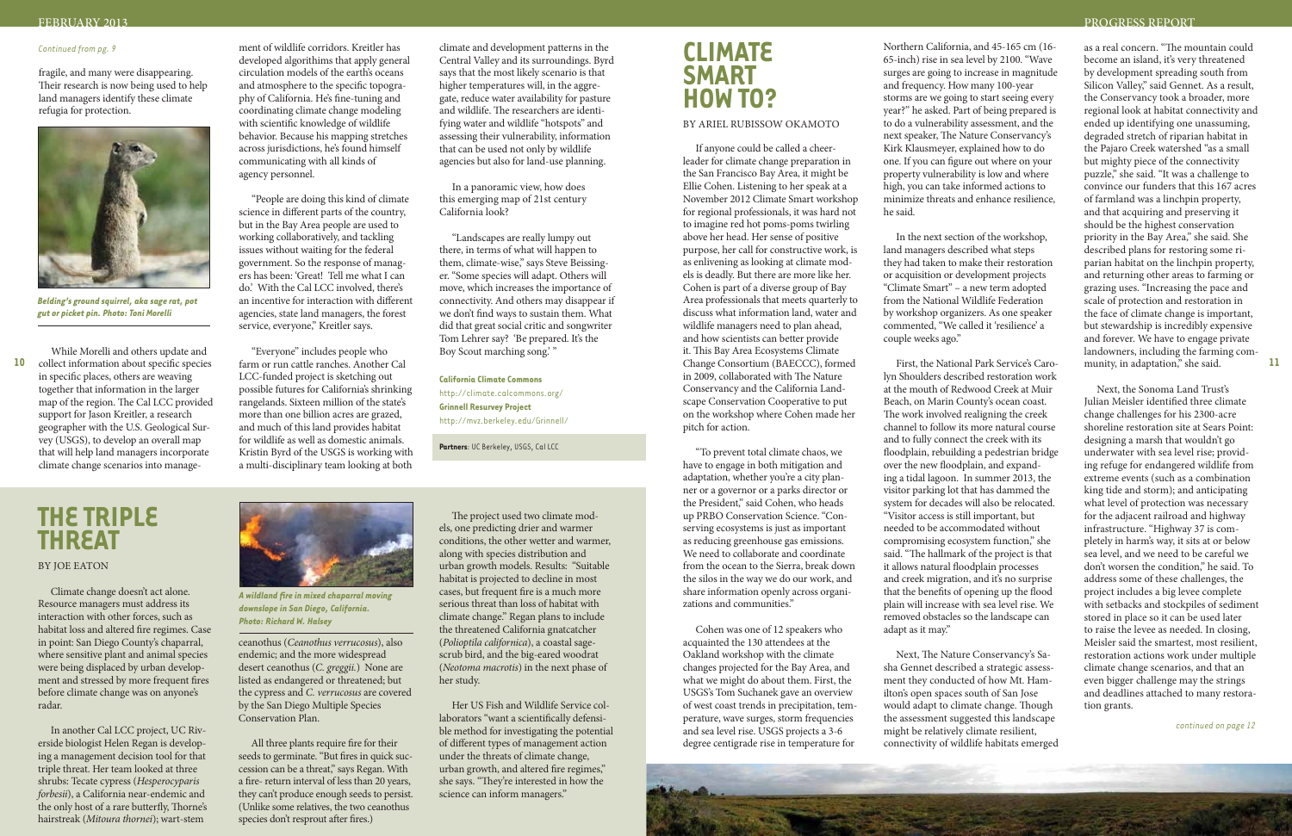#### FEBRUARY 2013

## **Climate Smart How To?**

#### By Ariel Rubissow Okamoto

If anyone could be called a cheerleader for climate change preparation in the San Francisco Bay Area, it might be Ellie Cohen. Listening to her speak at a November 2012 Climate Smart workshop for regional professionals, it was hard not to imagine red hot poms-poms twirling above her head. Her sense of positive purpose, her call for constructive work, is as enlivening as looking at climate models is deadly. But there are more like her. Cohen is part of a diverse group of Bay Area professionals that meets quarterly to discuss what information land, water and wildlife managers need to plan ahead, and how scientists can better provide it. This Bay Area Ecosystems Climate Change Consortium (BAECCC), formed in 2009, collaborated with The Nature Conservancy and the California Landscape Conservation Cooperative to put on the workshop where Cohen made her pitch for action.

"To prevent total climate chaos, we have to engage in both mitigation and adaptation, whether you're a city planner or a governor or a parks director or the President," said Cohen, who heads up PRBO Conservation Science. "Conserving ecosystems is just as important as reducing greenhouse gas emissions. We need to collaborate and coordinate from the ocean to the Sierra, break down the silos in the way we do our work, and share information openly across organizations and communities."

Cohen was one of 12 speakers who acquainted the 130 attendees at the Oakland workshop with the climate changes projected for the Bay Area, and what we might do about them. First, the USGS's Tom Suchanek gave an overview of west coast trends in precipitation, temperature, wave surges, storm frequencies and sea level rise. USGS projects a 3-6 degree centigrade rise in temperature for

Northern California, and 45-165 cm (16- 65-inch) rise in sea level by 2100. "Wave surges are going to increase in magnitude and frequency. How many 100-year storms are we going to start seeing every year?" he asked. Part of being prepared is to do a vulnerability assessment, and the next speaker, The Nature Conservancy's Kirk Klausmeyer, explained how to do one. If you can figure out where on your property vulnerability is low and where high, you can take informed actions to minimize threats and enhance resilience, he said.

In the next section of the workshop, land managers described what steps they had taken to make their restoration or acquisition or development projects "Climate Smart" – a new term adopted from the National Wildlife Federation by workshop organizers. As one speaker commented, "We called it 'resilience' a couple weeks ago."

First, the National Park Service's Carolyn Shoulders described restoration work at the mouth of Redwood Creek at Muir Beach, on Marin County's ocean coast. The work involved realigning the creek channel to follow its more natural course and to fully connect the creek with its floodplain, rebuilding a pedestrian bridge over the new floodplain, and expanding a tidal lagoon. In summer 2013, the visitor parking lot that has dammed the system for decades will also be relocated. "Visitor access is still important, but needed to be accommodated without compromising ecosystem function," she said. "The hallmark of the project is that it allows natural floodplain processes and creek migration, and it's no surprise that the benefits of opening up the flood plain will increase with sea level rise. We removed obstacles so the landscape can adapt as it may."

10 collect information about specific species farm or run cattle ranches. Another Cal Change Consortium (BAECCC), formed First, the National Park Service's Caro- munity, in adaptation," she said. While Morelli and others update and in specific places, others are weaving together that information in the larger map of the region. The Cal LCC provided support for Jason Kreitler, a research geographer with the U.S. Geological Survey (USGS), to develop an overall map that will help land managers incorporate climate change scenarios into manage-

"People are doing this kind of climate science in different parts of the country, but in the Bay Area people are used to working collaboratively, and tackling issues without waiting for the federal government. So the response of managers has been: 'Great! Tell me what I can do.' With the Cal LCC involved, there's an incentive for interaction with different agencies, state land managers, the forest service, everyone," Kreitler says.

> Next, The Nature Conservancy's Sasha Gennet described a strategic assessment they conducted of how Mt. Hamilton's open spaces south of San Jose would adapt to climate change. Though the assessment suggested this landscape might be relatively climate resilient, connectivity of wildlife habitats emerged

as a real concern. "The mountain could become an island, it's very threatened by development spreading south from Silicon Valley," said Gennet. As a result, the Conservancy took a broader, more regional look at habitat connectivity and ended up identifying one unassuming, degraded stretch of riparian habitat in the Pajaro Creek watershed "as a small but mighty piece of the connectivity puzzle," she said. "It was a challenge to convince our funders that this 167 acres of farmland was a linchpin property, and that acquiring and preserving it should be the highest conservation priority in the Bay Area," she said. She described plans for restoring some riparian habitat on the linchpin property, and returning other areas to farming or grazing uses. "Increasing the pace and scale of protection and restoration in the face of climate change is important, but stewardship is incredibly expensive and forever. We have to engage private landowners, including the farming community, in adaptation," she said.

Next, the Sonoma Land Trust's Julian Meisler identified three climate change challenges for his 2300-acre shoreline restoration site at Sears Point: designing a marsh that wouldn't go underwater with sea level rise; providing refuge for endangered wildlife from extreme events (such as a combination king tide and storm); and anticipating what level of protection was necessary for the adjacent railroad and highway infrastructure. "Highway 37 is completely in harm's way, it sits at or below sea level, and we need to be careful we don't worsen the condition," he said. To address some of these challenges, the project includes a big levee complete with setbacks and stockpiles of sediment stored in place so it can be used later to raise the levee as needed. In closing, Meisler said the smartest, most resilient, restoration actions work under multiple climate change scenarios, and that an even bigger challenge may the strings and deadlines attached to many restoration grants.

fragile, and many were disappearing. Their research is now being used to help land managers identify these climate refugia for protection.

ment of wildlife corridors. Kreitler has developed algorithims that apply general circulation models of the earth's oceans and atmosphere to the specific topography of California. He's fine-tuning and coordinating climate change modeling with scientific knowledge of wildlife behavior. Because his mapping stretches across jurisdictions, he's found himself communicating with all kinds of agency personnel.

"Everyone" includes people who farm or run cattle ranches. Another Cal LCC-funded project is sketching out possible futures for California's shrinking rangelands. Sixteen million of the state's more than one billion acres are grazed, and much of this land provides habitat for wildlife as well as domestic animals. Kristin Byrd of the USGS is working with a multi-disciplinary team looking at both

climate and development patterns in the Central Valley and its surroundings. Byrd says that the most likely scenario is that higher temperatures will, in the aggregate, reduce water availability for pasture and wildlife. The researchers are identifying water and wildlife "hotspots" and assessing their vulnerability, information that can be used not only by wildlife agencies but also for land-use planning.

In a panoramic view, how does this emerging map of 21st century California look?

"Landscapes are really lumpy out there, in terms of what will happen to them, climate-wise," says Steve Beissinger. "Some species will adapt. Others will move, which increases the importance of connectivity. And others may disappear if we don't find ways to sustain them. What did that great social critic and songwriter Tom Lehrer say? 'Be prepared. It's the Boy Scout marching song.' "

**California Climate Commons** <http://climate.calcommons.org/> **Grinnell Resurvey Project** <http://mvz.berkeley.edu/Grinnell/>

**Partners**: UC Berkeley, USGS, Cal LCC

#### *Continued from pg. 9*

*continued on page 12*



#### by joe eaton

Climate change doesn't act alone. Resource managers must address its interaction with other forces, such as habitat loss and altered fire regimes. Case in point: San Diego County's chaparral, where sensitive plant and animal species were being displaced by urban development and stressed by more frequent fires before climate change was on anyone's radar.

In another Cal LCC project, UC Riverside biologist Helen Regan is developing a management decision tool for that triple threat. Her team looked at three shrubs: Tecate cypress (*Hesperocyparis forbesii*), a California near-endemic and the only host of a rare butterfly, Thorne's hairstreak (*Mitoura thornei*); wart-stem

ceanothus (*Ceanothus verrucosus*), also endemic; and the more widespread desert ceanothus (*C. greggii.*) None are listed as endangered or threatened; but the cypress and *C. verrucosus* are covered by the San Diego Multiple Species Conservation Plan.

All three plants require fire for their seeds to germinate. "But fires in quick succession can be a threat," says Regan. With a fire- return interval of less than 20 years, they can't produce enough seeds to persist. (Unlike some relatives, the two ceanothus species don't resprout after fires.)

The project used two climate models, one predicting drier and warmer conditions, the other wetter and warmer, along with species distribution and urban growth models. Results: "Suitable habitat is projected to decline in most cases, but frequent fire is a much more serious threat than loss of habitat with climate change." Regan plans to include the threatened California gnatcatcher (*Polioptila californica*), a coastal sagescrub bird, and the big-eared woodrat (*Neotoma macrotis*) in the next phase of her study.

Her US Fish and Wildlife Service collaborators "want a scientifically defensible method for investigating the potential of different types of management action under the threats of climate change, urban growth, and altered fire regimes," she says. "They're interested in how the science can inform managers."



*Belding's ground squirrel, aka sage rat, pot gut or picket pin. Photo: Toni Morelli*



*A wildland fire in mixed chaparral moving downslope in San Diego, California. Photo: Richard W. Halsey*